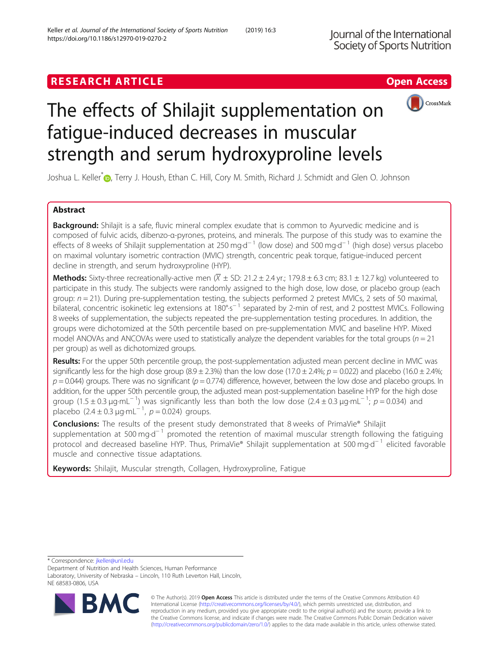## **RESEARCH ARTICLE Example 2018 12:30 The Contract of Contract ACCESS**





# The effects of Shilajit supplementation on fatigue-induced decreases in muscular strength and serum hydroxyproline levels

Joshua L. Keller<sup>\*</sup><sup>®</sup>, Terry J. Housh, Ethan C. Hill, Cory M. Smith, Richard J. Schmidt and Glen O. Johnson

## Abstract

**Background:** Shilajit is a safe, fluvic mineral complex exudate that is common to Ayurvedic medicine and is composed of fulvic acids, dibenzo-α-pyrones, proteins, and minerals. The purpose of this study was to examine the effects of 8 weeks of Shilajit supplementation at 250 mg·d<sup>-1</sup> (low dose) and 500 mg·d<sup>-1</sup> (high dose) versus placebo on maximal voluntary isometric contraction (MVIC) strength, concentric peak torque, fatigue-induced percent decline in strength, and serum hydroxyproline (HYP).

Methods: Sixty-three recreationally-active men  $(\overline{X} \pm S)$ : 21.2 ± 2.4 yr.; 179.8 ± 6.3 cm; 83.1 ± 12.7 kg) volunteered to participate in this study. The subjects were randomly assigned to the high dose, low dose, or placebo group (each group:  $n = 21$ ). During pre-supplementation testing, the subjects performed 2 pretest MVICs, 2 sets of 50 maximal, bilateral, concentric isokinetic leg extensions at 180°·s<sup>-1</sup> separated by 2-min of rest, and 2 posttest MVICs. Following 8 weeks of supplementation, the subjects repeated the pre-supplementation testing procedures. In addition, the groups were dichotomized at the 50th percentile based on pre-supplementation MVIC and baseline HYP. Mixed model ANOVAs and ANCOVAs were used to statistically analyze the dependent variables for the total groups ( $n = 21$ ) per group) as well as dichotomized groups.

Results: For the upper 50th percentile group, the post-supplementation adjusted mean percent decline in MVIC was significantly less for the high dose group  $(8.9 \pm 2.3\%)$  than the low dose  $(17.0 \pm 2.4\%)$ ;  $p = 0.022$ ) and placebo  $(16.0 \pm 2.4\%)$ ;  $p = 0.044$ ) groups. There was no significant ( $p = 0.774$ ) difference, however, between the low dose and placebo groups. In addition, for the upper 50th percentile group, the adjusted mean post-supplementation baseline HYP for the high dose group (1.5 ± 0.3  $\mu$ g·mL<sup>-1</sup>) was significantly less than both the low dose (2.4 ± 0.3  $\mu$ g·mL<sup>-1</sup>; p = 0.034) and  $p$ lacebo (2.4 ± 0.3 μg·mL<sup>-1</sup>, *p* = 0.024) groups.

**Conclusions:** The results of the present study demonstrated that 8 weeks of PrimaVie® Shilajit supplementation at 500 mg·d<sup>-1</sup> promoted the retention of maximal muscular strength following the fatiguing protocol and decreased baseline HYP. Thus, PrimaVie® Shilajit supplementation at 500 mg·d<sup>−1</sup> elicited favorable muscle and connective tissue adaptations.

Keywords: Shilajit, Muscular strength, Collagen, Hydroxyproline, Fatigue

\* Correspondence: [jkeller@unl.edu](mailto:jkeller@unl.edu)

Department of Nutrition and Health Sciences, Human Performance Laboratory, University of Nebraska – Lincoln, 110 Ruth Leverton Hall, Lincoln, NE 68583-0806, USA



© The Author(s). 2019 **Open Access** This article is distributed under the terms of the Creative Commons Attribution 4.0 International License [\(http://creativecommons.org/licenses/by/4.0/](http://creativecommons.org/licenses/by/4.0/)), which permits unrestricted use, distribution, and reproduction in any medium, provided you give appropriate credit to the original author(s) and the source, provide a link to the Creative Commons license, and indicate if changes were made. The Creative Commons Public Domain Dedication waiver [\(http://creativecommons.org/publicdomain/zero/1.0/](http://creativecommons.org/publicdomain/zero/1.0/)) applies to the data made available in this article, unless otherwise stated.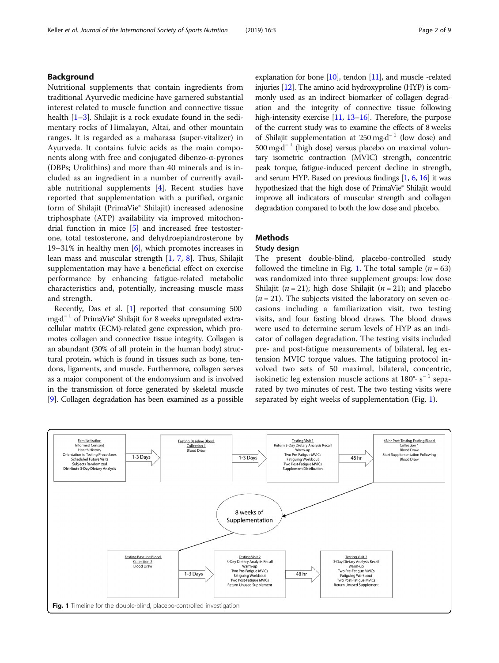## Background

Nutritional supplements that contain ingredients from traditional Ayurvedic medicine have garnered substantial interest related to muscle function and connective tissue health [\[1](#page-8-0)–[3\]](#page-8-0). Shilajit is a rock exudate found in the sedimentary rocks of Himalayan, Altai, and other mountain ranges. It is regarded as a maharasa (super-vitalizer) in Ayurveda. It contains fulvic acids as the main components along with free and conjugated dibenzo-α-pyrones (DBPs; Urolithins) and more than 40 minerals and is included as an ingredient in a number of currently available nutritional supplements [\[4](#page-8-0)]. Recent studies have reported that supplementation with a purified, organic form of Shilajit (PrimaVie® Shilajit) increased adenosine triphosphate (ATP) availability via improved mitochondrial function in mice [[5\]](#page-8-0) and increased free testosterone, total testosterone, and dehydroepiandrosterone by 19–31% in healthy men [\[6\]](#page-8-0), which promotes increases in lean mass and muscular strength [[1,](#page-8-0) [7](#page-8-0), [8\]](#page-8-0). Thus, Shilajit supplementation may have a beneficial effect on exercise performance by enhancing fatigue-related metabolic characteristics and, potentially, increasing muscle mass and strength.

Recently, Das et al. [\[1\]](#page-8-0) reported that consuming 500 mg·d<sup>-1</sup> of PrimaVie® Shilajit for 8 weeks upregulated extracellular matrix (ECM)-related gene expression, which promotes collagen and connective tissue integrity. Collagen is an abundant (30% of all protein in the human body) structural protein, which is found in tissues such as bone, tendons, ligaments, and muscle. Furthermore, collagen serves as a major component of the endomysium and is involved in the transmission of force generated by skeletal muscle [[9](#page-8-0)]. Collagen degradation has been examined as a possible

explanation for bone [\[10\]](#page-8-0), tendon [\[11\]](#page-8-0), and muscle -related injuries [\[12](#page-8-0)]. The amino acid hydroxyproline (HYP) is commonly used as an indirect biomarker of collagen degradation and the integrity of connective tissue following high-intensity exercise [\[11,](#page-8-0) [13](#page-8-0)–[16\]](#page-8-0). Therefore, the purpose of the current study was to examine the effects of 8 weeks of Shilajit supplementation at 250 mg·d<sup>-1</sup> (low dose) and  $500 \text{ mg} \cdot d^{-1}$  (high dose) versus placebo on maximal voluntary isometric contraction (MVIC) strength, concentric peak torque, fatigue-induced percent decline in strength, and serum HYP. Based on previous findings [\[1,](#page-8-0) [6](#page-8-0), [16](#page-8-0)] it was hypothesized that the high dose of PrimaVie® Shilajit would improve all indicators of muscular strength and collagen degradation compared to both the low dose and placebo.

## Methods

#### Study design

The present double-blind, placebo-controlled study followed the timeline in Fig. 1. The total sample  $(n = 63)$ was randomized into three supplement groups: low dose Shilajit ( $n = 21$ ); high dose Shilajit ( $n = 21$ ); and placebo  $(n = 21)$ . The subjects visited the laboratory on seven occasions including a familiarization visit, two testing visits, and four fasting blood draws. The blood draws were used to determine serum levels of HYP as an indicator of collagen degradation. The testing visits included pre- and post-fatigue measurements of bilateral, leg extension MVIC torque values. The fatiguing protocol involved two sets of 50 maximal, bilateral, concentric, isokinetic leg extension muscle actions at  $180^\circ \cdot s^{-1}$  separated by two minutes of rest. The two testing visits were separated by eight weeks of supplementation (Fig. 1).

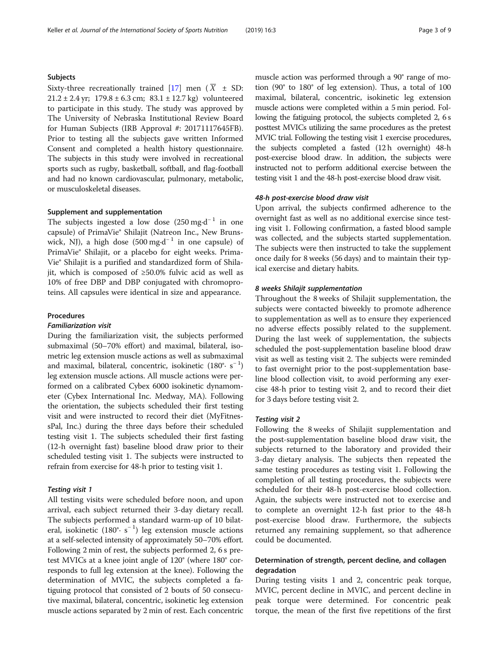#### Subjects

Sixty-three recreationally trained [[17\]](#page-8-0) men  $(X \pm SD)$ :  $21.2 \pm 2.4$  yr;  $179.8 \pm 6.3$  cm;  $83.1 \pm 12.7$  kg) volunteered to participate in this study. The study was approved by The University of Nebraska Institutional Review Board for Human Subjects (IRB Approval #: 20171117645FB). Prior to testing all the subjects gave written Informed Consent and completed a health history questionnaire. The subjects in this study were involved in recreational sports such as rugby, basketball, softball, and flag-football and had no known cardiovascular, pulmonary, metabolic, or musculoskeletal diseases.

## Supplement and supplementation

The subjects ingested a low dose  $(250 \text{ mg} \cdot \text{d}^{-1})$  in one capsule) of PrimaVie® Shilajit (Natreon Inc., New Brunswick, NJ), a high dose  $(500 \text{ mg} \cdot \text{d}^{-1})$  in one capsule) of PrimaVie® Shilajit, or a placebo for eight weeks. Prima-Vie® Shilajit is a purified and standardized form of Shilajit, which is composed of ≥50.0% fulvic acid as well as 10% of free DBP and DBP conjugated with chromoproteins. All capsules were identical in size and appearance.

#### Procedures

#### Familiarization visit

During the familiarization visit, the subjects performed submaximal (50–70% effort) and maximal, bilateral, isometric leg extension muscle actions as well as submaximal and maximal, bilateral, concentric, isokinetic (180°· s<sup>-1</sup>) leg extension muscle actions. All muscle actions were performed on a calibrated Cybex 6000 isokinetic dynamometer (Cybex International Inc. Medway, MA). Following the orientation, the subjects scheduled their first testing visit and were instructed to record their diet (MyFitnessPal, Inc.) during the three days before their scheduled testing visit 1. The subjects scheduled their first fasting (12-h overnight fast) baseline blood draw prior to their scheduled testing visit 1. The subjects were instructed to refrain from exercise for 48-h prior to testing visit 1.

#### Testing visit 1

All testing visits were scheduled before noon, and upon arrival, each subject returned their 3-day dietary recall. The subjects performed a standard warm-up of 10 bilateral, isokinetic (180°· s<sup>-1</sup>) leg extension muscle actions at a self-selected intensity of approximately 50–70% effort. Following 2 min of rest, the subjects performed 2, 6 s pretest MVICs at a knee joint angle of 120° (where 180° corresponds to full leg extension at the knee). Following the determination of MVIC, the subjects completed a fatiguing protocol that consisted of 2 bouts of 50 consecutive maximal, bilateral, concentric, isokinetic leg extension muscle actions separated by 2 min of rest. Each concentric muscle action was performed through a 90° range of motion (90° to 180° of leg extension). Thus, a total of 100 maximal, bilateral, concentric, isokinetic leg extension muscle actions were completed within a 5 min period. Following the fatiguing protocol, the subjects completed 2, 6 s posttest MVICs utilizing the same procedures as the pretest MVIC trial. Following the testing visit 1 exercise procedures, the subjects completed a fasted (12 h overnight) 48-h post-exercise blood draw. In addition, the subjects were instructed not to perform additional exercise between the testing visit 1 and the 48-h post-exercise blood draw visit.

#### 48-h post-exercise blood draw visit

Upon arrival, the subjects confirmed adherence to the overnight fast as well as no additional exercise since testing visit 1. Following confirmation, a fasted blood sample was collected, and the subjects started supplementation. The subjects were then instructed to take the supplement once daily for 8 weeks (56 days) and to maintain their typical exercise and dietary habits.

#### 8 weeks Shilajit supplementation

Throughout the 8 weeks of Shilajit supplementation, the subjects were contacted biweekly to promote adherence to supplementation as well as to ensure they experienced no adverse effects possibly related to the supplement. During the last week of supplementation, the subjects scheduled the post-supplementation baseline blood draw visit as well as testing visit 2. The subjects were reminded to fast overnight prior to the post-supplementation baseline blood collection visit, to avoid performing any exercise 48-h prior to testing visit 2, and to record their diet for 3 days before testing visit 2.

#### Testing visit 2

Following the 8 weeks of Shilajit supplementation and the post-supplementation baseline blood draw visit, the subjects returned to the laboratory and provided their 3-day dietary analysis. The subjects then repeated the same testing procedures as testing visit 1. Following the completion of all testing procedures, the subjects were scheduled for their 48-h post-exercise blood collection. Again, the subjects were instructed not to exercise and to complete an overnight 12-h fast prior to the 48-h post-exercise blood draw. Furthermore, the subjects returned any remaining supplement, so that adherence could be documented.

## Determination of strength, percent decline, and collagen degradation

During testing visits 1 and 2, concentric peak torque, MVIC, percent decline in MVIC, and percent decline in peak torque were determined. For concentric peak torque, the mean of the first five repetitions of the first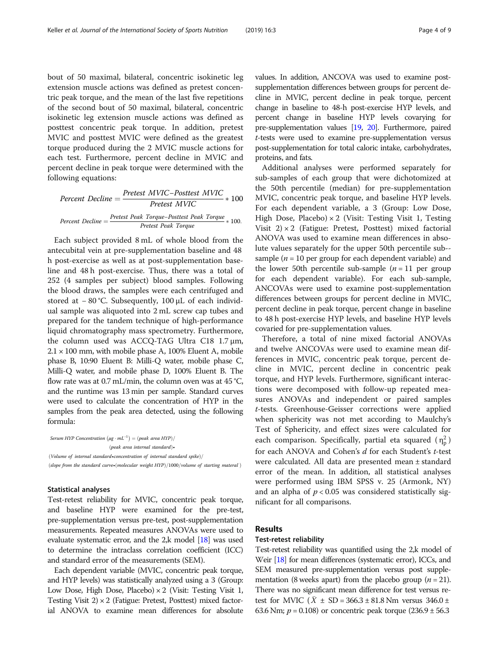bout of 50 maximal, bilateral, concentric isokinetic leg extension muscle actions was defined as pretest concentric peak torque, and the mean of the last five repetitions of the second bout of 50 maximal, bilateral, concentric isokinetic leg extension muscle actions was defined as posttest concentric peak torque. In addition, pretest MVIC and posttest MVIC were defined as the greatest torque produced during the 2 MVIC muscle actions for each test. Furthermore, percent decline in MVIC and percent decline in peak torque were determined with the following equations:

Percent Decline = 
$$
\frac{Pretest MVIC - Posttest MVIC}{Pretest MVIC} * 100
$$

\nPercent Decline = 
$$
\frac{Pretest \text{ Peak Torque} - Posttest \text{Peak Torque}}{Pretest \text{ Peak Torque}} * 100.
$$

Each subject provided 8 mL of whole blood from the antecubital vein at pre-supplementation baseline and 48 h post-exercise as well as at post-supplementation baseline and 48 h post-exercise. Thus, there was a total of 252 (4 samples per subject) blood samples. Following the blood draws, the samples were each centrifuged and stored at − 80 °C. Subsequently, 100 μL of each individual sample was aliquoted into 2 mL screw cap tubes and prepared for the tandem technique of high-performance liquid chromatography mass spectrometry. Furthermore, the column used was ACCQ-TAG Ultra C18 1.7 μm,  $2.1 \times 100$  mm, with mobile phase A, 100% Eluent A, mobile phase B, 10:90 Eluent B: Milli-Q water, mobile phase C, Milli-Q water, and mobile phase D, 100% Eluent B. The flow rate was at 0.7 mL/min, the column oven was at  $45^{\circ}$ C, and the runtime was 13 min per sample. Standard curves were used to calculate the concentration of HYP in the samples from the peak area detected, using the following formula:

Serum HYP Concentration  $(\mu g \cdot mL^{-1}) = (peak \ area \ HYP) /$  $(peak \ area \ internal \ standard)$ • (Volume of internal standard•concentration of internal standard spike)/ (slope from the standard curve•(molecular weight HYP)/1000/volume of starting materal  $\rangle$ 

#### Statistical analyses

Test-retest reliability for MVIC, concentric peak torque, and baseline HYP were examined for the pre-test, pre-supplementation versus pre-test, post-supplementation measurements. Repeated measures ANOVAs were used to evaluate systematic error, and the 2,k model [[18](#page-8-0)] was used to determine the intraclass correlation coefficient (ICC) and standard error of the measurements (SEM).

Each dependent variable (MVIC, concentric peak torque, and HYP levels) was statistically analyzed using a 3 (Group: Low Dose, High Dose, Placebo)  $\times$  2 (Visit: Testing Visit 1, Testing Visit  $2 \times 2$  (Fatigue: Pretest, Posttest) mixed factorial ANOVA to examine mean differences for absolute values. In addition, ANCOVA was used to examine postsupplementation differences between groups for percent decline in MVIC, percent decline in peak torque, percent change in baseline to 48-h post-exercise HYP levels, and percent change in baseline HYP levels covarying for pre-supplementation values [\[19](#page-8-0), [20\]](#page-8-0). Furthermore, paired t-tests were used to examine pre-supplementation versus post-supplementation for total caloric intake, carbohydrates, proteins, and fats.

Additional analyses were performed separately for sub-samples of each group that were dichotomized at the 50th percentile (median) for pre-supplementation MVIC, concentric peak torque, and baseline HYP levels. For each dependent variable, a 3 (Group: Low Dose, High Dose, Placebo)  $\times$  2 (Visit: Testing Visit 1, Testing Visit  $2) \times 2$  (Fatigue: Pretest, Posttest) mixed factorial ANOVA was used to examine mean differences in absolute values separately for the upper 50th percentile sub- sample ( $n = 10$  per group for each dependent variable) and the lower 50th percentile sub-sample  $(n = 11$  per group for each dependent variable). For each sub-sample, ANCOVAs were used to examine post-supplementation differences between groups for percent decline in MVIC, percent decline in peak torque, percent change in baseline to 48 h post-exercise HYP levels, and baseline HYP levels covaried for pre-supplementation values.

Therefore, a total of nine mixed factorial ANOVAs and twelve ANCOVAs were used to examine mean differences in MVIC, concentric peak torque, percent decline in MVIC, percent decline in concentric peak torque, and HYP levels. Furthermore, significant interactions were decomposed with follow-up repeated measures ANOVAs and independent or paired samples t-tests. Greenhouse-Geisser corrections were applied when sphericity was not met according to Maulchy's Test of Sphericity, and effect sizes were calculated for each comparison. Specifically, partial eta squared  $(\eta_p^2)$ for each ANOVA and Cohen's d for each Student's t-test were calculated. All data are presented mean ± standard error of the mean. In addition, all statistical analyses were performed using IBM SPSS v. 25 (Armonk, NY) and an alpha of  $p < 0.05$  was considered statistically significant for all comparisons.

#### Results

#### Test-retest reliability

Test-retest reliability was quantified using the 2,k model of Weir [\[18](#page-8-0)] for mean differences (systematic error), ICCs, and SEM measured pre-supplementation versus post supplementation (8 weeks apart) from the placebo group ( $n = 21$ ). There was no significant mean difference for test versus retest for MVIC  $(X \pm SD = 366.3 \pm 81.8 \text{ Nm}$  versus  $346.0 \pm$ 63.6 Nm;  $p = 0.108$ ) or concentric peak torque  $(236.9 \pm 56.3)$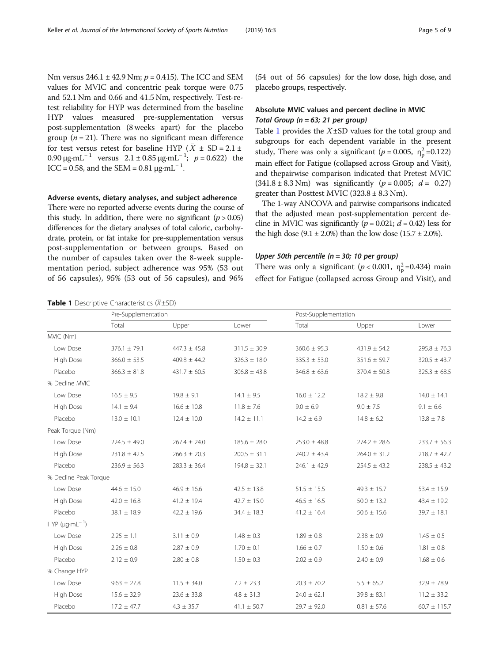Nm versus  $246.1 \pm 42.9$  Nm;  $p = 0.415$ ). The ICC and SEM values for MVIC and concentric peak torque were 0.75 and 52.1 Nm and 0.66 and 41.5 Nm, respectively. Test-retest reliability for HYP was determined from the baseline HYP values measured pre-supplementation versus post-supplementation (8 weeks apart) for the placebo group ( $n = 21$ ). There was no significant mean difference for test versus retest for baseline HYP ( $\overline{X} \pm SD = 2.1 \pm$ 0.90 μg·mL<sup>-1</sup> versus  $2.1 \pm 0.85$  μg·mL<sup>-1</sup>;  $p = 0.622$ ) the ICC = 0.58, and the SEM =  $0.81 \mu g \cdot mL^{-1}$ .

#### Adverse events, dietary analyses, and subject adherence

There were no reported adverse events during the course of this study. In addition, there were no significant ( $p > 0.05$ ) differences for the dietary analyses of total caloric, carbohydrate, protein, or fat intake for pre-supplementation versus post-supplementation or between groups. Based on the number of capsules taken over the 8-week supplementation period, subject adherence was 95% (53 out of 56 capsules), 95% (53 out of 56 capsules), and 96%

**Table 1** Descriptive Characteristics  $(\overline{X} \pm SD)$ 

(54 out of 56 capsules) for the low dose, high dose, and placebo groups, respectively.

## Absolute MVIC values and percent decline in MVIC Total Group ( $n = 63$ ; 21 per group)

Table 1 provides the  $\overline{X}$ ±SD values for the total group and subgroups for each dependent variable in the present study, There was only a significant ( $p = 0.005$ ,  $\eta_p^2 = 0.122$ ) main effect for Fatigue (collapsed across Group and Visit), and thepairwise comparison indicated that Pretest MVIC  $(341.8 \pm 8.3 \text{ Nm})$  was significantly  $(p = 0.005; d = 0.27)$ greater than Posttest MVIC  $(323.8 \pm 8.3 \text{ Nm})$ .

The 1-way ANCOVA and pairwise comparisons indicated that the adjusted mean post-supplementation percent decline in MVIC was significantly ( $p = 0.021$ ;  $d = 0.42$ ) less for the high dose  $(9.1 \pm 2.0\%)$  than the low dose  $(15.7 \pm 2.0\%)$ .

#### Upper 50th percentile (n = 30; 10 per group)

There was only a significant ( $p < 0.001$ ,  $\eta_p^2 = 0.434$ ) main effect for Fatigue (collapsed across Group and Visit), and

|                              | Pre-Supplementation |                  |                  | Post-Supplementation |                  |                  |
|------------------------------|---------------------|------------------|------------------|----------------------|------------------|------------------|
|                              | Total               | Upper            | Lower            | Total                | Upper            | Lower            |
| MVIC (Nm)                    |                     |                  |                  |                      |                  |                  |
| Low Dose                     | $376.1 \pm 79.1$    | $447.3 \pm 45.8$ | $311.5 \pm 30.9$ | $360.6 \pm 95.3$     | $431.9 \pm 54.2$ | $295.8 \pm 76.3$ |
| High Dose                    | $366.0 \pm 53.5$    | $409.8 \pm 44.2$ | $326.3 \pm 18.0$ | $335.3 \pm 53.0$     | $351.6 \pm 59.7$ | $320.5 \pm 43.7$ |
| Placebo                      | $366.3 \pm 81.8$    | $431.7 \pm 60.5$ | $306.8 \pm 43.8$ | $346.8 \pm 63.6$     | $370.4 \pm 50.8$ | $325.3 \pm 68.5$ |
| % Decline MVIC               |                     |                  |                  |                      |                  |                  |
| Low Dose                     | $16.5 \pm 9.5$      | $19.8 \pm 9.1$   | $14.1 \pm 9.5$   | $16.0 \pm 12.2$      | $18.2 \pm 9.8$   | $14.0 \pm 14.1$  |
| High Dose                    | $14.1 \pm 9.4$      | $16.6 \pm 10.8$  | $11.8 \pm 7.6$   | $9.0 \pm 6.9$        | $9.0 \pm 7.5$    | $9.1 \pm 6.6$    |
| Placebo                      | $13.0 \pm 10.1$     | $12.4 \pm 10.0$  | $14.2 \pm 11.1$  | $14.2 \pm 6.9$       | $14.8 \pm 6.2$   | $13.8 \pm 7.8$   |
| Peak Torque (Nm)             |                     |                  |                  |                      |                  |                  |
| Low Dose                     | $224.5 \pm 49.0$    | $267.4 \pm 24.0$ | $185.6 \pm 28.0$ | $253.0 \pm 48.8$     | $274.2 \pm 28.6$ | $233.7 \pm 56.3$ |
| High Dose                    | $231.8 \pm 42.5$    | $266.3 \pm 20.3$ | $200.5 \pm 31.1$ | $240.2 \pm 43.4$     | $264.0 \pm 31.2$ | $218.7 \pm 42.7$ |
| Placebo                      | $236.9 \pm 56.3$    | $283.3 \pm 36.4$ | $194.8 \pm 32.1$ | $246.1 \pm 42.9$     | $254.5 \pm 43.2$ | $238.5 \pm 43.2$ |
| % Decline Peak Torque        |                     |                  |                  |                      |                  |                  |
| Low Dose                     | $44.6 \pm 15.0$     | $46.9 \pm 16.6$  | $42.5 \pm 13.8$  | $51.5 \pm 15.5$      | $49.3 \pm 15.7$  | $53.4 \pm 15.9$  |
| High Dose                    | $42.0 \pm 16.8$     | $41.2 \pm 19.4$  | $42.7 \pm 15.0$  | $46.5 \pm 16.5$      | $50.0 \pm 13.2$  | $43.4 \pm 19.2$  |
| Placebo                      | $38.1 \pm 18.9$     | $42.2 \pm 19.6$  | $34.4 \pm 18.3$  | $41.2 \pm 16.4$      | $50.6 \pm 15.6$  | $39.7 \pm 18.1$  |
| $HYP$ ( $\mu$ g·m $L^{-1}$ ) |                     |                  |                  |                      |                  |                  |
| Low Dose                     | $2.25 \pm 1.1$      | $3.11 \pm 0.9$   | $1.48 \pm 0.3$   | $1.89 \pm 0.8$       | $2.38 \pm 0.9$   | $1.45 \pm 0.5$   |
| High Dose                    | $2.26 \pm 0.8$      | $2.87 \pm 0.9$   | $1.70 \pm 0.1$   | $1.66 \pm 0.7$       | $1.50 \pm 0.6$   | $1.81 \pm 0.8$   |
| Placebo                      | $2.12 \pm 0.9$      | $2.80 \pm 0.8$   | $1.50 \pm 0.3$   | $2.02 \pm 0.9$       | $2.40 \pm 0.9$   | $1.68 \pm 0.6$   |
| % Change HYP                 |                     |                  |                  |                      |                  |                  |
| Low Dose                     | $9.63 \pm 27.8$     | $11.5 \pm 34.0$  | $7.2 \pm 23.3$   | $20.3 \pm 70.2$      | $5.5 \pm 65.2$   | $32.9 \pm 78.9$  |
| High Dose                    | $15.6 \pm 32.9$     | $23.6 \pm 33.8$  | $4.8 \pm 31.3$   | $24.0 \pm 62.1$      | $39.8 \pm 83.1$  | $11.2 \pm 33.2$  |
| Placebo                      | $17.2 \pm 47.7$     | $4.3 \pm 35.7$   | $41.1 \pm 50.7$  | $29.7 \pm 92.0$      | $0.81 \pm 57.6$  | $60.7 \pm 115.7$ |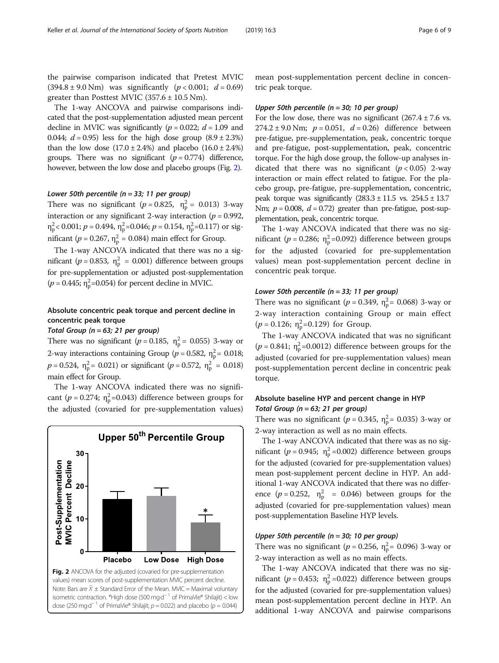The 1-way ANCOVA and pairwise comparisons indicated that the post-supplementation adjusted mean percent decline in MVIC was significantly ( $p = 0.022$ ;  $d = 1.09$  and 0.044;  $d = 0.95$ ) less for the high dose group  $(8.9 \pm 2.3\%)$ than the low dose  $(17.0 \pm 2.4\%)$  and placebo  $(16.0 \pm 2.4\%)$ groups. There was no significant  $(p = 0.774)$  difference, however, between the low dose and placebo groups (Fig. 2).

## Lower 50th percentile ( $n = 33$ ; 11 per group)

There was no significant ( $p = 0.825$ ,  $n_p^2 = 0.013$ ) 3-way interaction or any significant 2-way interaction ( $p = 0.992$ ,  $\eta_{\rm p}^2$  < 0.001;  $p = 0.494$ ,  $\eta_{\rm p}^2$  = 0.046;  $p = 0.154$ ,  $\eta_{\rm p}^2$  = 0.117) or significant ( $p = 0.267$ ,  $\eta_{\rm p}^2 = 0.084$ ) main effect for Group.

The 1-way ANCOVA indicated that there was no a significant ( $p = 0.853$ ,  $\eta_p^2 = 0.001$ ) difference between groups for pre-supplementation or adjusted post-supplementation  $(p = 0.445; \eta_{\rm p}^2 = 0.054)$  for percent decline in MVIC.

## Absolute concentric peak torque and percent decline in concentric peak torque

Total Group ( $n = 63$ ; 21 per group)

There was no significant ( $p = 0.185$ ,  $\eta_p^2 = 0.055$ ) 3-way or 2-way interactions containing Group ( $p = 0.582$ ,  $\eta_{\rm p}^2 = 0.018$ ;  $p = 0.524$ ,  $\eta_{\rm p}^2 = 0.021$ ) or significant ( $p = 0.572$ ,  $\eta_{\rm p}^2 = 0.018$ ) main effect for Group.

The 1-way ANCOVA indicated there was no significant ( $p = 0.274$ ;  $\eta_p^2 = 0.043$ ) difference between groups for the adjusted (covaried for pre-supplementation values)



mean post-supplementation percent decline in concentric peak torque.

#### Upper 50th percentile (n = 30; 10 per group)

For the low dose, there was no significant  $(267.4 \pm 7.6 \text{ vs.})$ 274.2 ± 9.0 Nm;  $p = 0.051$ ,  $d = 0.26$ ) difference between pre-fatigue, pre-supplementation, peak, concentric torque and pre-fatigue, post-supplementation, peak, concentric torque. For the high dose group, the follow-up analyses indicated that there was no significant  $(p < 0.05)$  2-way interaction or main effect related to fatigue. For the placebo group, pre-fatigue, pre-supplementation, concentric, peak torque was significantly  $(283.3 \pm 11.5 \text{ vs. } 254.5 \pm 13.7)$ Nm;  $p = 0.008$ ,  $d = 0.72$ ) greater than pre-fatigue, post-supplementation, peak, concentric torque.

The 1-way ANCOVA indicated that there was no significant ( $p = 0.286$ ;  $\eta_p^2 = 0.092$ ) difference between groups for the adjusted (covaried for pre-supplementation values) mean post-supplementation percent decline in concentric peak torque.

## Lower 50th percentile ( $n = 33$ ; 11 per group)

There was no significant ( $p = 0.349$ ,  $\eta_p^2 = 0.068$ ) 3-way or 2-way interaction containing Group or main effect  $(p = 0.126; \eta_p^2 = 0.129)$  for Group.

The 1-way ANCOVA indicated that was no significant ( $p = 0.841$ ;  $\eta_p^2 = 0.0012$ ) difference between groups for the adjusted (covaried for pre-supplementation values) mean post-supplementation percent decline in concentric peak torque.

## Absolute baseline HYP and percent change in HYP Total Group ( $n = 63$ ; 21 per group)

There was no significant ( $p = 0.345$ ,  $\eta_{p}^{2} = 0.035$ ) 3-way or 2-way interaction as well as no main effects.

The 1-way ANCOVA indicated that there was as no significant ( $p = 0.945$ ;  $\eta_p^2 = 0.002$ ) difference between groups for the adjusted (covaried for pre-supplementation values) mean post-supplement percent decline in HYP. An additional 1-way ANCOVA indicated that there was no difference ( $p = 0.252$ ,  $\eta_p^2 = 0.046$ ) between groups for the adjusted (covaried for pre-supplementation values) mean post-supplementation Baseline HYP levels.

#### Upper 50th percentile (n = 30; 10 per group)

There was no significant ( $p = 0.256$ ,  $\eta_p^2 = 0.096$ ) 3-way or 2-way interaction as well as no main effects.

The 1-way ANCOVA indicated that there was no significant ( $p = 0.453$ ;  $\eta_p^2 = 0.022$ ) difference between groups for the adjusted (covaried for pre-supplementation values) mean post-supplementation percent decline in HYP. An additional 1-way ANCOVA and pairwise comparisons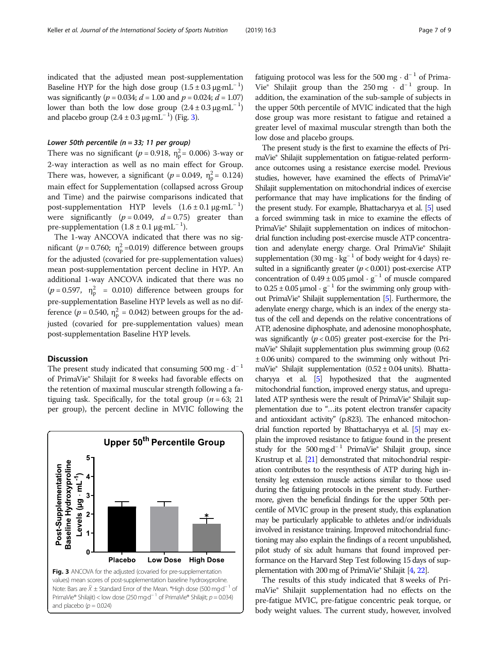## Lower 50th percentile ( $n = 33$ ; 11 per group)

and placebo group  $(2.4 \pm 0.3 \,\mu\text{g} \cdot \text{mL}^{-1})$  (Fig. 3).

There was no significant ( $p = 0.918$ ,  $\eta_{\rm p}^2 = 0.006$ ) 3-way or 2-way interaction as well as no main effect for Group. There was, however, a significant ( $p = 0.049$ ,  $\eta_{\rm p}^2 = 0.124$ ) main effect for Supplementation (collapsed across Group and Time) and the pairwise comparisons indicated that post-supplementation HYP levels  $(1.6 \pm 0.1 \,\mu\text{g}\cdot\text{mL}^{-1})$ were significantly ( $p = 0.049$ ,  $d = 0.75$ ) greater than pre-supplementation  $(1.8 \pm 0.1 \,\mu\text{g} \cdot \text{mL}^{-1})$ .

The 1-way ANCOVA indicated that there was no significant ( $p = 0.760$ ;  $\eta_p^2 = 0.019$ ) difference between groups for the adjusted (covaried for pre-supplementation values) mean post-supplementation percent decline in HYP. An additional 1-way ANCOVA indicated that there was no  $(p = 0.597, \eta_p^2 = 0.010)$  difference between groups for pre-supplementation Baseline HYP levels as well as no difference ( $p = 0.540$ ,  $\eta_p^2 = 0.042$ ) between groups for the adjusted (covaried for pre-supplementation values) mean post-supplementation Baseline HYP levels.

#### **Discussion**

The present study indicated that consuming  $500 \text{ mg} \cdot \text{d}^{-1}$ of PrimaVie® Shilajit for 8 weeks had favorable effects on the retention of maximal muscular strength following a fatiguing task. Specifically, for the total group ( $n = 63$ ; 21 per group), the percent decline in MVIC following the



fatiguing protocol was less for the 500 mg  $\cdot$  d<sup>-1</sup> of Prima-Vie® Shilajit group than the 250 mg  $\cdot$  d<sup>-1</sup> group. In addition, the examination of the sub-sample of subjects in the upper 50th percentile of MVIC indicated that the high dose group was more resistant to fatigue and retained a greater level of maximal muscular strength than both the low dose and placebo groups.

The present study is the first to examine the effects of PrimaVie® Shilajit supplementation on fatigue-related performance outcomes using a resistance exercise model. Previous studies, however, have examined the effects of PrimaVie® Shilajit supplementation on mitochondrial indices of exercise performance that may have implications for the finding of the present study. For example, Bhattacharyya et al. [\[5\]](#page-8-0) used a forced swimming task in mice to examine the effects of PrimaVie® Shilajit supplementation on indices of mitochondrial function including post-exercise muscle ATP concentration and adenylate energy charge. Oral PrimaVie® Shilajit supplementation (30 mg · kg<sup>-1</sup> of body weight for 4 days) resulted in a significantly greater  $(p < 0.001)$  post-exercise ATP concentration of  $0.49 \pm 0.05$  µmol ·  $g^{-1}$  of muscle compared to  $0.25 \pm 0.05$  µmol ·  $g^{-1}$  for the swimming only group without PrimaVie® Shilajit supplementation [\[5\]](#page-8-0). Furthermore, the adenylate energy charge, which is an index of the energy status of the cell and depends on the relative concentrations of ATP, adenosine diphosphate, and adenosine monophosphate, was significantly ( $p < 0.05$ ) greater post-exercise for the PrimaVie® Shilajit supplementation plus swimming group (0.62 ± 0.06 units) compared to the swimming only without PrimaVie® Shilajit supplementation  $(0.52 \pm 0.04 \text{ units})$ . Bhattacharyya et al. [\[5](#page-8-0)] hypothesized that the augmented mitochondrial function, improved energy status, and upregulated ATP synthesis were the result of PrimaVie® Shilajit supplementation due to "…its potent electron transfer capacity and antioxidant activity" (p.823). The enhanced mitochondrial function reported by Bhattacharyya et al. [[5](#page-8-0)] may explain the improved resistance to fatigue found in the present study for the  $500 \text{ mg} \cdot d^{-1}$  PrimaVie® Shilajit group, since Krustrup et al. [\[21](#page-8-0)] demonstrated that mitochondrial respiration contributes to the resynthesis of ATP during high intensity leg extension muscle actions similar to those used during the fatiguing protocols in the present study. Furthermore, given the beneficial findings for the upper 50th percentile of MVIC group in the present study, this explanation may be particularly applicable to athletes and/or individuals involved in resistance training. Improved mitochondrial functioning may also explain the findings of a recent unpublished, pilot study of six adult humans that found improved performance on the Harvard Step Test following 15 days of supplementation with 200 mg of PrimaVie® Shilajit [\[4,](#page-8-0) [22](#page-8-0)].

The results of this study indicated that 8 weeks of PrimaVie® Shilajit supplementation had no effects on the pre-fatigue MVIC, pre-fatigue concentric peak torque, or body weight values. The current study, however, involved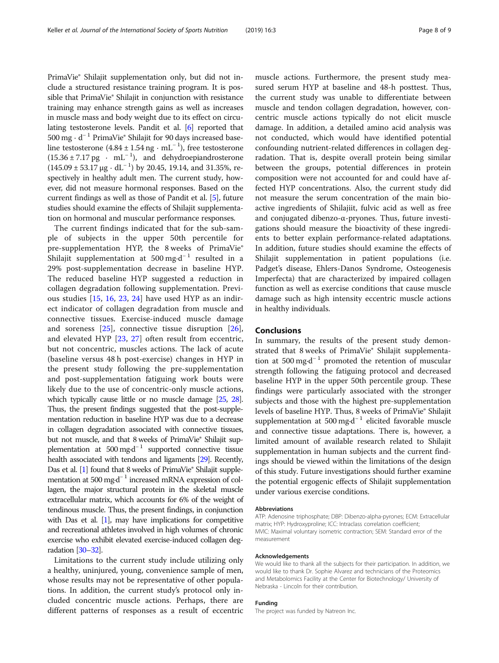PrimaVie® Shilajit supplementation only, but did not include a structured resistance training program. It is possible that PrimaVie® Shilajit in conjunction with resistance training may enhance strength gains as well as increases in muscle mass and body weight due to its effect on circulating testosterone levels. Pandit et al. [[6](#page-8-0)] reported that 500 mg · d<sup>−</sup> <sup>1</sup> PrimaVie® Shilajit for 90 days increased baseline testosterone  $(4.84 \pm 1.54 \text{ ng} \cdot \text{mL}^{-1})$ , free testosterone  $(15.36 \pm 7.17 \text{ pg} \cdot \text{ mL}^{-1})$ , and dehydroepiandrosterone  $(145.09 \pm 53.17 \,\mu g \cdot dL^{-1})$  by 20.45, 19.14, and 31.35%, respectively in healthy adult men. The current study, however, did not measure hormonal responses. Based on the current findings as well as those of Pandit et al. [\[5](#page-8-0)], future studies should examine the effects of Shilajit supplementation on hormonal and muscular performance responses.

The current findings indicated that for the sub-sample of subjects in the upper 50th percentile for pre-supplementation HYP, the 8 weeks of PrimaVie® Shilajit supplementation at  $500 \text{ mg} \cdot \text{d}^{-1}$  resulted in a 29% post-supplementation decrease in baseline HYP. The reduced baseline HYP suggested a reduction in collagen degradation following supplementation. Previous studies [\[15](#page-8-0), [16,](#page-8-0) [23,](#page-8-0) [24](#page-8-0)] have used HYP as an indirect indicator of collagen degradation from muscle and connective tissues. Exercise-induced muscle damage and soreness [[25\]](#page-8-0), connective tissue disruption [\[26](#page-8-0)], and elevated HYP [\[23](#page-8-0), [27\]](#page-8-0) often result from eccentric, but not concentric, muscles actions. The lack of acute (baseline versus 48 h post-exercise) changes in HYP in the present study following the pre-supplementation and post-supplementation fatiguing work bouts were likely due to the use of concentric-only muscle actions, which typically cause little or no muscle damage [\[25](#page-8-0), [28\]](#page-8-0). Thus, the present findings suggested that the post-supplementation reduction in baseline HYP was due to a decrease in collagen degradation associated with connective tissues, but not muscle, and that 8 weeks of PrimaVie® Shilajit supplementation at  $500 \text{ mg} \cdot d^{-1}$  supported connective tissue health associated with tendons and ligaments [[29\]](#page-8-0). Recently, Das et al. [\[1](#page-8-0)] found that 8 weeks of PrimaVie® Shilajit supplementation at 500 mg·d<sup>-1</sup> increased mRNA expression of collagen, the major structural protein in the skeletal muscle extracellular matrix, which accounts for 6% of the weight of tendinous muscle. Thus, the present findings, in conjunction with Das et al. [\[1](#page-8-0)], may have implications for competitive and recreational athletes involved in high volumes of chronic exercise who exhibit elevated exercise-induced collagen degradation [\[30](#page-8-0)–[32\]](#page-8-0).

Limitations to the current study include utilizing only a healthy, uninjured, young, convenience sample of men, whose results may not be representative of other populations. In addition, the current study's protocol only included concentric muscle actions. Perhaps, there are different patterns of responses as a result of eccentric muscle actions. Furthermore, the present study measured serum HYP at baseline and 48-h posttest. Thus, the current study was unable to differentiate between muscle and tendon collagen degradation, however, concentric muscle actions typically do not elicit muscle damage. In addition, a detailed amino acid analysis was not conducted, which would have identified potential confounding nutrient-related differences in collagen degradation. That is, despite overall protein being similar between the groups, potential differences in protein composition were not accounted for and could have affected HYP concentrations. Also, the current study did not measure the serum concentration of the main bioactive ingredients of Shilajiit, fulvic acid as well as free and conjugated dibenzo-α-pryones. Thus, future investigations should measure the bioactivity of these ingredients to better explain performance-related adaptations. In addition, future studies should examine the effects of Shilajit supplementation in patient populations (i.e. Padget's disease, Ehlers-Danos Syndrome, Osteogenesis Imperfecta) that are characterized by impaired collagen function as well as exercise conditions that cause muscle damage such as high intensity eccentric muscle actions in healthy individuals.

#### Conclusions

In summary, the results of the present study demonstrated that 8 weeks of PrimaVie® Shilajit supplementation at 500 mg·d<sup>-1</sup> promoted the retention of muscular strength following the fatiguing protocol and decreased baseline HYP in the upper 50th percentile group. These findings were particularly associated with the stronger subjects and those with the highest pre-supplementation levels of baseline HYP. Thus, 8 weeks of PrimaVie® Shilajit supplementation at 500 mg⋅d<sup>-1</sup> elicited favorable muscle and connective tissue adaptations. There is, however, a limited amount of available research related to Shilajit supplementation in human subjects and the current findings should be viewed within the limitations of the design of this study. Future investigations should further examine the potential ergogenic effects of Shilajit supplementation under various exercise conditions.

#### Abbreviations

ATP: Adenosine triphosphate; DBP: Dibenzo-alpha-pyrones; ECM: Extracellular matrix; HYP: Hydroxyproline; ICC: Intraclass correlation coefficient; MVIC: Maximal voluntary isometric contraction; SEM: Standard error of the measurement

#### Acknowledgements

We would like to thank all the subjects for their participation. In addition, we would like to thank Dr. Sophie Alvarez and technicians of the Proteomics and Metabolomics Facility at the Center for Biotechnology/ University of Nebraska - Lincoln for their contribution.

#### Funding

The project was funded by Natreon Inc.